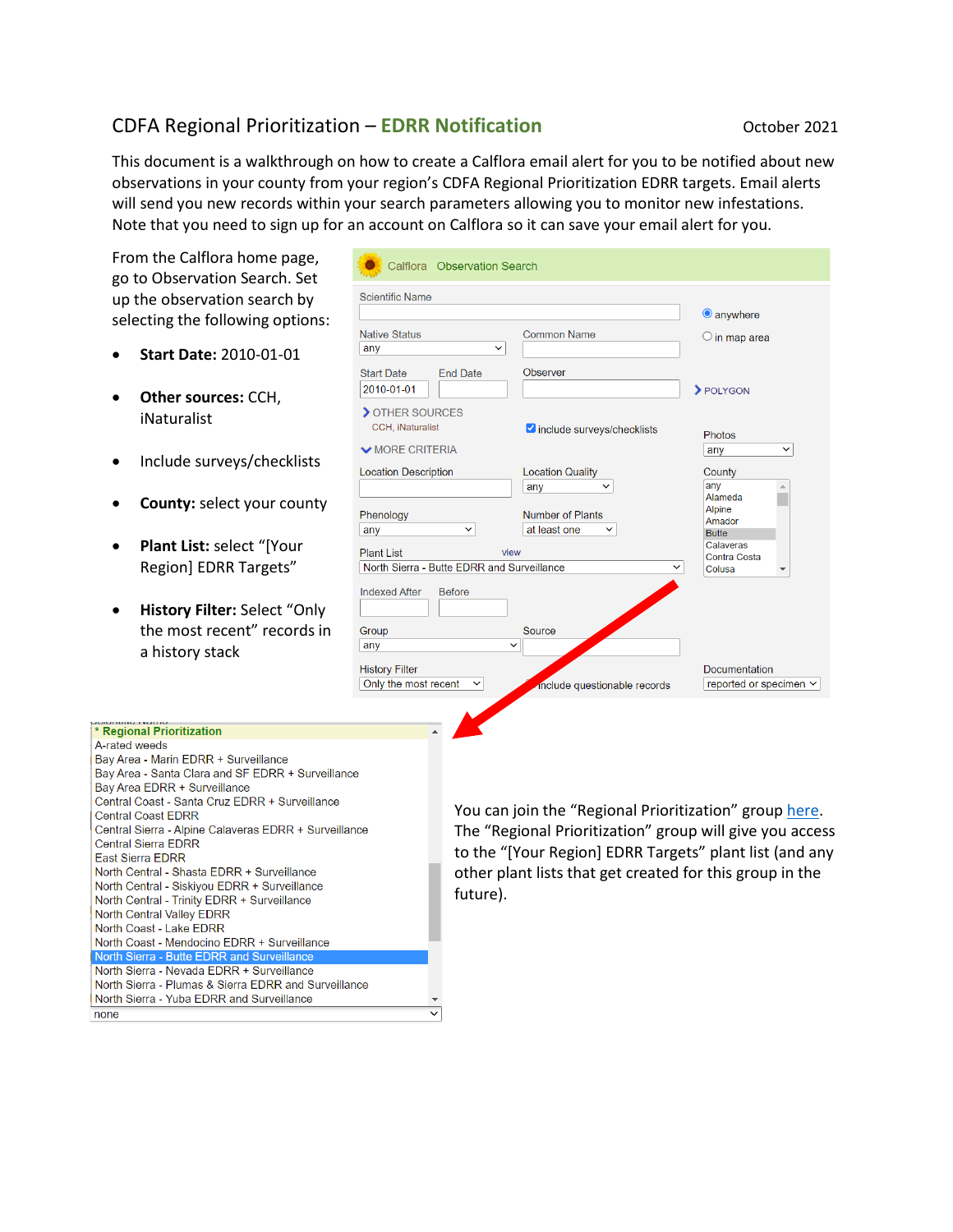## CDFA Regional Prioritization – **EDRR Notification CDFA Regional Prioritization C**

This document is a walkthrough on how to create a Calflora email alert for you to be notified about new observations in your county from your region's CDFA Regional Prioritization EDRR targets. Email alerts will send you new records within your search parameters allowing you to monitor new infestations. Note that you need to sign up for an account on Calflora so it can save your email alert for you.

 $\overline{\mathsf{v}}$ 

- **Start Date:** 2010-01-01
- **Other sources:** CCH, iNaturalist
- Include surveys/checklists
- **County:** select your county
- **Plant List:** select "[Your Region] EDRR Targets"
- **History Filter:** Select "Only the most recent" records in a history stack

Central Sierra - Alpine Calaveras EDRR + Surveillance

North Central - Shasta EDRR + Surveillance North Central - Siskiyou EDRR + Surveillance North Central - Trinity EDRR + Surveillance

North Coast - Mendocino EDRR + Surveillance North Sierra - Butte EDRR and Surveillanc North Sierra - Nevada EDRR + Surveillance

North Sierra - Plumas & Sierra EDRR and Surveillance North Sierra - Yuba EDRR and Surveillance

**Central Coast EDRR** 

**Central Sierra EDRR** East Sierra EDRR

none

North Central Valley EDRR North Coast - Lake EDRR

| From the Calflora home page,<br>go to Observation Search. Set                                                                                                                                                             | Calflora Observation Search                                         |                                                                |                                                           |  |  |  |  |
|---------------------------------------------------------------------------------------------------------------------------------------------------------------------------------------------------------------------------|---------------------------------------------------------------------|----------------------------------------------------------------|-----------------------------------------------------------|--|--|--|--|
| up the observation search by                                                                                                                                                                                              | <b>Scientific Name</b>                                              |                                                                |                                                           |  |  |  |  |
| selecting the following options:<br><b>Start Date: 2010-01-01</b>                                                                                                                                                         | <b>Native Status</b><br>$\check{~}$<br>any                          | <b>Common Name</b>                                             | $\bigcirc$ in map area                                    |  |  |  |  |
| Other sources: CCH,                                                                                                                                                                                                       | <b>Start Date</b><br><b>End Date</b><br>2010-01-01<br>OTHER SOURCES | Observer                                                       | > POLYGON                                                 |  |  |  |  |
| iNaturalist                                                                                                                                                                                                               | CCH, iNaturalist<br>$\vee$ MORE CRITERIA                            | include surveys/checklists                                     | <b>Photos</b><br>$\checkmark$                             |  |  |  |  |
| Include surveys/checklists                                                                                                                                                                                                | <b>Location Description</b>                                         | <b>Location Quality</b>                                        | any<br>County                                             |  |  |  |  |
| <b>County: select your county</b>                                                                                                                                                                                         | Phenology<br>$\checkmark$<br>any                                    | any<br><b>Number of Plants</b><br>at least one<br>$\checkmark$ | any<br>Alameda<br><b>Alpine</b><br>Amador<br><b>Butte</b> |  |  |  |  |
| Plant List: select "[Your<br>Region] EDRR Targets"                                                                                                                                                                        | <b>Plant List</b>                                                   | view<br>North Sierra - Butte EDRR and Surveillance             |                                                           |  |  |  |  |
| History Filter: Select "Only<br>$\bullet$<br>the most recent" records in<br>a history stack                                                                                                                               | <b>Indexed After</b><br><b>Before</b><br>Group<br>any               | Source<br>$\checkmark$                                         |                                                           |  |  |  |  |
|                                                                                                                                                                                                                           | <b>History Filter</b><br>Only the most recent                       | include questionable records                                   | <b>Documentation</b><br>reported or specimen $\sim$       |  |  |  |  |
| * Regional Prioritization<br>A-rated weeds<br>Bay Area - Marin EDRR + Surveillance<br>Bay Area - Santa Clara and SF EDRR + Surveillance<br>Bay Area EDRR + Surveillance<br>Central Coast - Santa Cruz EDRR + Surveillance |                                                                     | You can join the "Regional Prioritization" group here.         |                                                           |  |  |  |  |
| <b>Central Coast EDRR</b>                                                                                                                                                                                                 |                                                                     |                                                                |                                                           |  |  |  |  |

The "Regional Prioritization" group will give you access to the "[Your Region] EDRR Targets" plant list (and any other plant lists that get created for this group in the future).